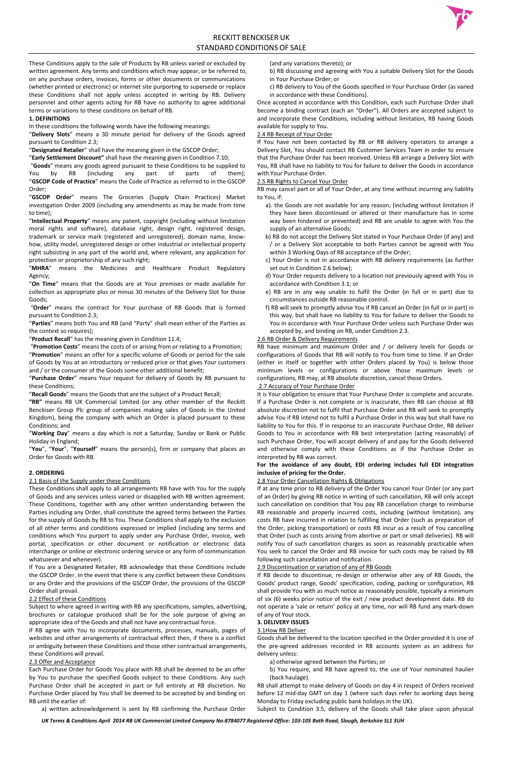

# RECKITT BENCKISER UK STANDARD CONDITIONS OF SALE

*UK Terms & Conditions April 2014 RB UK Commercial Limited Company No:8784077 Registered Office: 103-105 Bath Road, Slough, Berkshire SL1 3UH*

These Conditions apply to the sale of Products by RB unless varied or excluded by written agreement. Any terms and conditions which may appear, or be referred to, on any purchase orders, invoices, forms or other documents or communications (whether printed or electronic) or internet site purporting to supersede or replace these Conditions shall not apply unless accepted in writing by RB. Delivery personnel and other agents acting for RB have no authority to agree additional terms or variations to these conditions on behalf of RB.

#### **1. DEFINITIONS**

In these conditions the following words have the following meanings:

"**Delivery Slots**" means a 30 minute period for delivery of the Goods agreed pursuant to Condition 2.3;

"**Designated Retailer**" shall have the meaning given in the GSCOP Order;

"**Early Settlement Discount"** shall have the meaning given in Condition 7.10;

"**Goods**" means any goods agreed pursuant to these Conditions to be supplied to You by RB (including any part of parts of them); "**GSCOP Code of Practice**" means the Code of Practice as referred to in the GSCOP Order;

"**GSCOP Order**" means The Groceries (Supply Chain Practices) Market investigation Order 2009 (including any amendments as may be made from time to time);

"**Intellectual Property**" means any patent, copyright (including without limitation moral rights and software), database right, design right, registered design, trademark or service mark (registered and unregistered), domain name, knowhow, utility model, unregistered design or other industrial or intellectual property right subsisting in any part of the world and, where relevant, any application for protection or proprietorship of any such right;

"**MHRA**" means the Medicines and Healthcare Product Regulatory Agency;

"**On Time**" means that the Goods are at Your premises or made available for collection as appropriate plus or minus 30 minutes of the Delivery Slot for those Goods;

"**Order**" means the contract for Your purchase of RB Goods that is formed pursuant to Condition 2.3;

"**Parties**" means both You and RB (and "Party" shall mean either of the Parties as the context so requires);

"**Product Recall**" has the meaning given in Condition 11.4;

"**Promotion Costs**" means the costs of or arising from or relating to a Promotion;

"**Promotion**" means an offer for a specific volume of Goods or period for the sale of Goods by You at an introductory or reduced price or that gives Your customers and / or the consumer of the Goods some other additional benefit;

"**Purchase Order**" means Your request for delivery of Goods by RB pursuant to these Conditions;

"**Recall Goods**" means the Goods that are the subject of a Product Recall;

**"RB"** means RB UK Commercial Limited (or any other member of the Reckitt Benckiser Group Plc group of companies making sales of Goods in the United Kingdom), being the company with which an Order is placed pursuant to these Conditions; and

"**Working Day**" means a day which is not a Saturday, Sunday or Bank or Public Holiday in England;

"**You**", "**Your**", "**Yourself**" means the person(s), firm or company that places an Order for Goods with RB.

### **2. ORDERING**

2.1 Basis of the Supply under these Conditions

These Conditions shall apply to all arrangements RB have with You for the supply of Goods and any services unless varied or disapplied with RB written agreement. These Conditions, together with any other written understanding between the Parties including any Order, shall constitute the agreed terms between the Parties for the supply of Goods by RB to You. These Conditions shall apply to the exclusion of all other terms and conditions expressed or implied (including any terms and conditions which You purport to apply under any Purchase Order, invoice, web portal, specification or other document or notification or electronic data interchange or online or electronic ordering service or any form of communication whatsoever and whenever). If You are a Designated Retailer, RB acknowledge that these Conditions include the GSCOP Order. In the event that there is any conflict between these Conditions or any Order and the provisions of the GSCOP Order, the provisions of the GSCOP Order shall prevail.

### 2.2 Effect of these Conditions

Subject to where agreed in writing with RB any specifications, samples, advertising, brochures or catalogue produced shall be for the sole purpose of giving an appropriate idea of the Goods and shall not have any contractual force.

If RB agree with You to incorporate documents, processes, manuals, pages of websites and other arrangements of contractual effect then, if there is a conflict or ambiguity between these Conditions and those other contractual arrangements, these Conditions will prevail.

## 2.3 Offer and Acceptance

Each Purchase Order for Goods You place with RB shall be deemed to be an offer by You to purchase the specified Goods subject to these Conditions. Any such Purchase Order shall be accepted in part or full entirely at RB discretion. No Purchase Order placed by You shall be deemed to be accepted by and binding on RB until the earlier of:

a) written acknowledgement is sent by RB confirming the Purchase Order

(and any variations thereto); or

- b) RB discussing and agreeing with You a suitable Delivery Slot for the Goods in Your Purchase Order; or
- c) RB delivery to You of the Goods specified in Your Purchase Order (as varied in accordance with these Conditions).

Once accepted in accordance with this Condition, each such Purchase Order shall become a binding contract (each an "Order"). All Orders are accepted subject to and incorporate these Conditions, including without limitation, RB having Goods available for supply to You.

#### 2.4 RB Receipt of Your Order

If You have not been contacted by RB or RB delivery operators to arrange a Delivery Slot, You should contact RB Customer Services Team in order to ensure that the Purchase Order has been received. Unless RB arrange a Delivery Slot with You, RB shall have no liability to You for failure to deliver the Goods in accordance with Your Purchase Order.

#### 2.5 RB Rights to Cancel Your Order

RB may cancel part or all of Your Order, at any time without incurring any liability to You, if:

- a). the Goods are not available for any reason, (including without limitation if they have been discontinued or altered or their manufacture has in some way been hindered or prevented) and RB are unable to agree with You the supply of an alternative Goods;
- b) RB do not accept the Delivery Slot stated in Your Purchase Order (if any) and / or a Delivery Slot acceptable to both Parties cannot be agreed with You within 3 Working Days of RB acceptance of the Order;
- c) Your Order is not in accordance with RB delivery requirements (as further set out in Condition 2.6 below);
- d) Your Order requests delivery to a location not previously agreed with You in accordance with Condition 3.1; or
- e) RB are in any way unable to fulfil the Order (in full or in part) due to circumstances outside RB reasonable control.
- f) RB will seek to promptly advise You if RB cancel an Order (in full or in part) in this way, but shall have no liability to You for failure to deliver the Goods to You in accordance with Your Purchase Order unless such Purchase Order was accepted by, and binding on RB, under Condition 2.3.

#### 2.6 RB Order & Delivery Requirements

RB have minimum and maximum Order and / or delivery levels for Goods or configurations of Goods that RB will notify to You from time to time. If an Order (either in itself or together with other Orders placed by You) is below those minimum levels or configurations or above those maximum levels or configurations, RB may, at RB absolute discretion, cancel those Orders.

#### 2.7 Accuracy of Your Purchase Order

It is Your obligation to ensure that Your Purchase Order is complete and accurate. If a Purchase Order is not complete or is inaccurate, then RB can choose at RB absolute discretion not to fulfil that Purchase Order and RB will seek to promptly advise You if RB intend not to fulfil a Purchase Order in this way but shall have no liability to You for this. If in response to an inaccurate Purchase Order, RB deliver Goods to You in accordance with RB best interpretation (acting reasonably) of such Purchase Order, You will accept delivery of and pay for the Goods delivered and otherwise comply with these Conditions as if the Purchase Order as interpreted by RB was correct.

## **For the avoidance of any doubt, EDI ordering includes full EDI integration inclusive of pricing for the Order.**

#### 2.8 Your Order Cancellation Rights & Obligations

If at any time prior to RB delivery of the Order You cancel Your Order (or any part of an Order) by giving RB notice in writing of such cancellation, RB will only accept such cancellation on condition that You pay RB cancellation charge to reimburse RB reasonable and properly incurred costs, including (without limitation), any costs RB have incurred in relation to fulfilling that Order (such as preparation of the Order, picking transportation) or costs RB incur as a result of You cancelling that Order (such as costs arising from abortive or part or small deliveries). RB will notify You of such cancellation charges as soon as reasonably practicable when You seek to cancel the Order and RB invoice for such costs may be raised by RB following such cancellation and notification.

### 2.9 Discontinuation or variation of any of RB Goods

If RB decide to discontinue, re-design or otherwise alter any of RB Goods, the Goods' product range, Goods' specification, coding, packing or configuration, RB shall provide You with as much notice as reasonably possible, typically a minimum of six (6) weeks prior notice of the exit / new product development date. RB do not operate a 'sale or return' policy at any time, nor will RB fund any mark-down of any of Your stock.

## **3. DELIVERY ISSUES**

#### 3.1How RB Deliver

Goods shall be delivered to the location specified in the Order provided it is one of the pre-agreed addresses recorded in RB accounts system as an address for delivery unless:

a) otherwise agreed between the Parties; or

b) You require, and RB have agreed to, the use of Your nominated haulier (back haulage).

RB shall attempt to make delivery of Goods on day 4 in respect of Orders received before 12 mid-day GMT on day 1 (where such days refer to working days being Monday to Friday excluding public bank holidays in the UK).

Subject to Condition 3.5, delivery of the Goods shall take place upon physical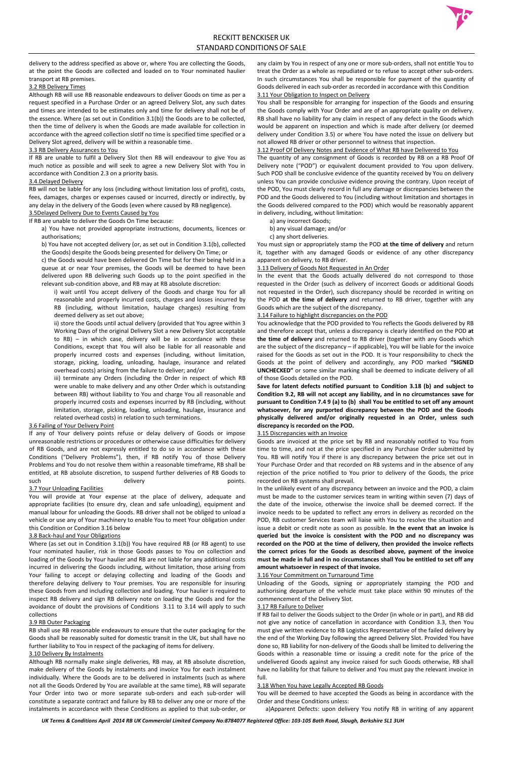delivery to the address specified as above or, where You are collecting the Goods, at the point the Goods are collected and loaded on to Your nominated haulier transport at RB premises.

#### 3.2 RB Delivery Times

Although RB will use RB reasonable endeavours to deliver Goods on time as per a request specified in a Purchase Order or an agreed Delivery Slot, any such dates and times are intended to be estimates only and time for delivery shall not be of the essence. Where (as set out in Condition 3.1(b)) the Goods are to be collected, then the time of delivery is when the Goods are made available for collection in accordance with the agreed collection slotIf no time is specified time specified or a Delivery Slot agreed, delivery will be within a reasonable time.

#### 3.3 RB Delivery Assurances to You

If RB are unable to fulfil a Delivery Slot then RB will endeavour to give You as much notice as possible and will seek to agree a new Delivery Slot with You in accordance with Condition 2.3 on a priority basis.

#### 3.4.Delayed Delivery

RB will not be liable for any loss (including without limitation loss of profit), costs, fees, damages, charges or expenses caused or incurred, directly or indirectly, by any delay in the delivery of the Goods (even where caused by RB negligence).

# 3.5Delayed Delivery Due to Events Caused by You

If RB are unable to deliver the Goods On Time because:

If any of Your delivery points refuse or delay delivery of Goods or impose unreasonable restrictions or procedures or otherwise cause difficulties for delivery of RB Goods, and are not expressly entitled to do so in accordance with these Conditions ("Delivery Problems"), then, if RB notify You of those Delivery Problems and You do not resolve them within a reasonable timeframe, RB shall be entitled, at RB absolute discretion, to suspend further deliveries of RB Goods to such and the delivery the control of the points.

- a) You have not provided appropriate instructions, documents, licences or authorisations;
- b) You have not accepted delivery (or, as set out in Condition 3.1(b), collected the Goods) despite the Goods being presented for delivery On Time; or

c) the Goods would have been delivered On Time but for their being held in a queue at or near Your premises, the Goods will be deemed to have been delivered upon RB delivering such Goods up to the point specified in the relevant sub-condition above, and RB may at RB absolute discretion:

i) wait until You accept delivery of the Goods and charge You for all reasonable and properly incurred costs, charges and losses incurred by RB (including, without limitation, haulage charges) resulting from deemed delivery as set out above;

ii) store the Goods until actual delivery (provided that You agree within 3 Working Days of the original Delivery Slot a new Delivery Slot acceptable to RB) – in which case, delivery will be in accordance with these Conditions, except that You will also be liable for all reasonable and properly incurred costs and expenses (including, without limitation, storage, picking, loading, unloading, haulage, insurance and related overhead costs) arising from the failure to deliver; and/or

iii) terminate any Orders (including the Order in respect of which RB were unable to make delivery and any other Order which is outstanding between RB) without liability to You and charge You all reasonable and properly incurred costs and expenses incurred by RB (including, without limitation, storage, picking, loading, unloading, haulage, insurance and related overhead costs) in relation to such terminations.

### 3.6 Failing of Your Delivery Point

### 3.7 Your Unloading Facilities

You will provide at Your expense at the place of delivery, adequate and appropriate facilities (to ensure dry, clean and safe unloading), equipment and manual labour for unloading the Goods. RB driver shall not be obliged to unload a vehicle or use any of Your machinery to enable You to meet Your obligation under

#### this Condition or Condition 3.16 below 3.8 Back-haul and Your Obligations

Where (as set out in Condition 3.1(b)) You have required RB (or RB agent) to use Your nominated haulier, risk in those Goods passes to You on collection and loading of the Goods by Your haulier and RB are not liable for any additional costs incurred in delivering the Goods including, without limitation, those arising from Your failing to accept or delaying collecting and loading of the Goods and therefore delaying delivery to Your premises. You are responsible for insuring these Goods from and including collection and loading. Your haulier is required to inspect RB delivery and sign RB delivery note on loading the Goods and for the avoidance of doubt the provisions of Conditions 3.11 to 3.14 will apply to such collections

### 3.9 RB Outer Packaging

RB shall use RB reasonable endeavours to ensure that the outer packaging for the Goods shall be reasonably suited for domestic transit in the UK, but shall have no further liability to You in respect of the packaging of items for delivery.

#### 3.10 Delivery By Instalments

Although RB normally make single deliveries, RB may, at RB absolute discretion, make delivery of the Goods by instalments and invoice You for each instalment individually. Where the Goods are to be delivered in instalments (such as where not all the Goods Ordered by You are available at the same time), RB will separate Your Order into two or more separate sub-orders and each sub-order will constitute a separate contract and failure by RB to deliver any one or more of the instalments in accordance with these Conditions as applied to that sub-order, or

any claim by You in respect of any one or more sub-orders, shall not entitle You to treat the Order as a whole as repudiated or to refuse to accept other sub-orders. In such circumstances You shall be responsible for payment of the quantity of Goods delivered in each sub-order as recorded in accordance with this Condition 3.11 Your Obligation to Inspect on Delivery

You shall be responsible for arranging for inspection of the Goods and ensuring the Goods comply with Your Order and are of an appropriate quality on delivery. RB shall have no liability for any claim in respect of any defect in the Goods which would be apparent on inspection and which is made after delivery (or deemed delivery under Condition 3.5) or where You have noted the issue on delivery but not allowed RB driver or other personnel to witness that inspection.

#### 3.12 Proof Of Delivery Notes and Evidence of What RB have Delivered to You

The quantity of any consignment of Goods is recorded by RB on a RB Proof Of Delivery note ("POD") or equivalent document provided to You upon delivery. Such POD shall be conclusive evidence of the quantity received by You on delivery unless You can provide conclusive evidence proving the contrary. Upon receipt of the POD, You must clearly record in full any damage or discrepancies between the POD and the Goods delivered to You (including without limitation and shortages in the Goods delivered compared to the POD) which would be reasonably apparent in delivery, including, without limitation:

a) any incorrect Goods;

b) any visual damage; and/or

c) any short deliveries.

You must sign or appropriately stamp the POD **at the time of delivery** and return it, together with any damaged Goods or evidence of any other discrepancy apparent on delivery, to RB driver.

#### 3.13 Delivery of Goods Not Requested in An Order

In the event that the Goods actually delivered do not correspond to those requested in the Order (such as delivery of incorrect Goods or additional Goods not requested in the Order), such discrepancy should be recorded in writing on the POD **at the time of delivery** and returned to RB driver, together with any Goods which are the subject of the discrepancy.

#### 3.14 Failure to highlight discrepancies on the POD

You acknowledge that the POD provided to You reflects the Goods delivered by RB and therefore accept that, unless a discrepancy is clearly identified on the POD **at the time of delivery** and returned to RB driver (together with any Goods which are the subject of the discrepancy – if applicable), You will be liable for the invoice raised for the Goods as set out in the POD. It is Your responsibility to check the Goods at the point of delivery and accordingly, any POD marked **"SIGNED UNCHECKED"** or some similar marking shall be deemed to indicate delivery of all of those Goods detailed on the POD.

**Save for latent defects notified pursuant to Condition 3.18 (b) and subject to Condition 9.2, RB will not accept any liability, and in no circumstances save for pursuant to Condition 7.4 9 (a) to (b) shall You be entitled to set off any amount whatsoever, for any purported discrepancy between the POD and the Goods physically delivered and/or originally requested in an Order, unless such discrepancy is recorded on the POD.** 

#### 3.15 Discrepancies with an Invoice

Goods are invoiced at the price set by RB and reasonably notified to You from time to time, and not at the price specified in any Purchase Order submitted by You. RB will notify You if there is any discrepancy between the price set out in Your Purchase Order and that recorded on RB systems and in the absence of any rejection of the price notified to You prior to delivery of the Goods, the price recorded on RB systems shall prevail.

In the unlikely event of any discrepancy between an invoice and the POD, a claim must be made to the customer services team in writing within seven (7) days of the date of the invoice, otherwise the invoice shall be deemed correct. If the invoice needs to be updated to reflect any errors in delivery as recorded on the POD, RB customer Services team will liaise with You to resolve the situation and issue a debit or credit note as soon as possible. **In the event that an invoice is queried but the invoice is consistent with the POD and no discrepancy was recorded on the POD at the time of delivery, then provided the invoice reflects the correct prices for the Goods as described above, payment of the invoice must be made in full and in no circumstances shall You be entitled to set off any amount whatsoever in respect of that invoice.**



#### 3.16 Your Commitment on Turnaround Time

Unloading of the Goods, signing or appropriately stamping the POD and authorising departure of the vehicle must take place within 90 minutes of the commencement of the Delivery Slot.

#### 3.17 RB Failure to Deliver

If RB fail to deliver the Goods subject to the Order (in whole or in part), and RB did not give any notice of cancellation in accordance with Condition 3.3, then You must give written evidence to RB Logistics Representative of the failed delivery by the end of the Working Day following the agreed Delivery Slot. Provided You have done so, RB liability for non-delivery of the Goods shall be limited to delivering the Goods within a reasonable time or issuing a credit note for the price of the undelivered Goods against any invoice raised for such Goods otherwise, RB shall have no liability for that failure to deliver and You must pay the relevant invoice in full.

#### 3.18 When You have Legally Accepted RB Goods

You will be deemed to have accepted the Goods as being in accordance with the Order and these Conditions unless:

a)Apparent Defects: upon delivery You notify RB in writing of any apparent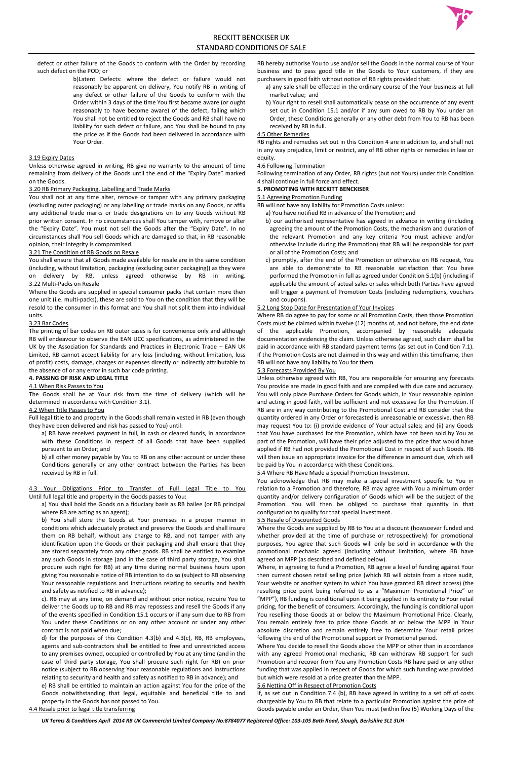defect or other failure of the Goods to conform with the Order by recording such defect on the POD; or

> b)Latent Defects: where the defect or failure would not reasonably be apparent on delivery, You notify RB in writing of any defect or other failure of the Goods to conform with the Order within 3 days of the time You first became aware (or ought reasonably to have become aware) of the defect, failing which You shall not be entitled to reject the Goods and RB shall have no liability for such defect or failure, and You shall be bound to pay the price as if the Goods had been delivered in accordance with Your Order.

## 3.19 Expiry Dates

Unless otherwise agreed in writing, RB give no warranty to the amount of time remaining from delivery of the Goods until the end of the "Expiry Date" marked on the Goods.

### 3.20 RB Primary Packaging, Labelling and Trade Marks

You shall not at any time alter, remove or tamper with any primary packaging (excluding outer packaging) or any labelling or trade marks on any Goods, or affix any additional trade marks or trade designations on to any Goods without RB prior written consent. In no circumstances shall You tamper with, remove or alter the "Expiry Date". You must not sell the Goods after the "Expiry Date". In no circumstances shall You sell Goods which are damaged so that, in RB reasonable opinion, their integrity is compromised.

## 3.21 The Condition of RB Goods on Resale

You shall ensure that all Goods made available for resale are in the same condition (including, without limitation, packaging (excluding outer packaging)) as they were on delivery by RB, unless agreed otherwise by RB in writing. 3.22 Multi-Packs on Resale

Where the Goods are supplied in special consumer packs that contain more then one unit (i.e. multi-packs), these are sold to You on the condition that they will be resold to the consumer in this format and You shall not split them into individual units.

## 3.23 Bar Codes

The printing of bar codes on RB outer cases is for convenience only and although RB will endeavour to observe the EAN UCC specifications, as administered in the UK by the Association for Standards and Practices in Electronic Trade – EAN UK Limited, RB cannot accept liability for any loss (including, without limitation, loss of profit) costs, damage, charges or expenses directly or indirectly attributable to the absence of or any error in such bar code printing.

## **4. PASSING OF RISK AND LEGAL TITLE**

### 4.1 When Risk Passes to You

The Goods shall be at Your risk from the time of delivery (which will be determined in accordance with Condition 3.1).

### 4.2 When Title Passes to You

Full legal title to and property in the Goods shall remain vested in RB (even though they have been delivered and risk has passed to You) until:

a) RB have received payment in full, in cash or cleared funds, in accordance with these Conditions in respect of all Goods that have been supplied pursuant to an Order; and

b) all other money payable by You to RB on any other account or under these Conditions generally or any other contract between the Parties has been received by RB in full.

4.3 Your Obligations Prior to Transfer of Full Legal Title to You Until full legal title and property in the Goods passes to You:

a) You shall hold the Goods on a fiduciary basis as RB bailee (or RB principal where RB are acting as an agent);

b) You shall store the Goods at Your premises in a proper manner in conditions which adequately protect and preserve the Goods and shall insure them on RB behalf, without any charge to RB, and not tamper with any identification upon the Goods or their packaging and shall ensure that they are stored separately from any other goods. RB shall be entitled to examine any such Goods in storage (and in the case of third party storage, You shall procure such right for RB) at any time during normal business hours upon giving You reasonable notice of RB intention to do so (subject to RB observing Your reasonable regulations and instructions relating to security and health and safety as notified to RB in advance);

c). RB may at any time, on demand and without prior notice, require You to deliver the Goods up to RB and RB may repossess and resell the Goods if any of the events specified in Condition 15.1 occurs or if any sum due to RB from You under these Conditions or on any other account or under any other contract is not paid when due;

d) for the purposes of this Condition 4.3(b) and 4.3(c), RB, RB employees, agents and sub-contractors shall be entitled to free and unrestricted access to any premises owned, occupied or controlled by You at any time (and in the case of third party storage, You shall procure such right for RB) on prior notice (subject to RB observing Your reasonable regulations and instructions relating to security and health and safety as notified to RB in advance); and e) RB shall be entitled to maintain an action against You for the price of the Goods notwithstanding that legal, equitable and beneficial title to and property in the Goods has not passed to You.

4.4 Resale prior to legal title transferring

RB hereby authorise You to use and/or sell the Goods in the normal course of Your business and to pass good title in the Goods to Your customers, if they are purchasers in good faith without notice of RB rights provided that:

- a) any sale shall be effected in the ordinary course of the Your business at full market value; and
- b) Your right to resell shall automatically cease on the occurrence of any event set out in Condition 15.1 and/or if any sum owed to RB by You under an Order, these Conditions generally or any other debt from You to RB has been received by RB in full.

## 4.5 Other Remedies

RB rights and remedies set out in this Condition 4 are in addition to, and shall not in any way prejudice, limit or restrict, any of RB other rights or remedies in law or equity.

## 4.6 Following Termination

Following termination of any Order, RB rights (but not Yours) under this Condition 4 shall continue in full force and effect.

## **5. PROMOTING WITH RECKITT BENCKISER**

## 5.1 Agreeing Promotion Funding

- RB will not have any liability for Promotion Costs unless:
	- a) You have notified RB in advance of the Promotion; and
	- b) our authorised representative has agreed in advance in writing (including agreeing the amount of the Promotion Costs, the mechanism and duration of the relevant Promotion and any key criteria You must achieve and/or otherwise include during the Promotion) that RB will be responsible for part or all of the Promotion Costs; and
	- c) promptly, after the end of the Promotion or otherwise on RB request, You are able to demonstrate to RB reasonable satisfaction that You have performed the Promotion in full as agreed under Condition 5.1(b) (including if applicable the amount of actual sales or sales which both Parties have agreed will trigger a payment of Promotion Costs (including redemptions, vouchers and coupons).

### 5.2 Long Stop Date for Presentation of Your Invoices

Where RB do agree to pay for some or all Promotion Costs, then those Promotion Costs must be claimed within twelve (12) months of, and not before, the end date of the applicable Promotion, accompanied by reasonable adequate documentation evidencing the claim. Unless otherwise agreed, such claim shall be paid in accordance with RB standard payment terms (as set out in Condition 7.1). If the Promotion Costs are not claimed in this way and within this timeframe, then RB will not have any liability to You for them

### 5.3 Forecasts Provided By You

Unless otherwise agreed with RB, You are responsible for ensuring any forecasts You provide are made in good faith and are compiled with due care and accuracy. You will only place Purchase Orders for Goods which, in Your reasonable opinion and acting in good faith, will be sufficient and not excessive for the Promotion. If RB are in any way contributing to the Promotional Cost and RB consider that the quantity ordered in any Order or forecasted is unreasonable or excessive, then RB may request You to: (i) provide evidence of Your actual sales; and (ii) any Goods that You have purchased for the Promotion, which have not been sold by You as part of the Promotion, will have their price adjusted to the price that would have applied if RB had not provided the Promotional Cost in respect of such Goods. RB will then issue an appropriate invoice for the difference in amount due, which will be paid by You in accordance with these Conditions.

## 5.4 Where RB Have Made a Special Promotion Investment

You acknowledge that RB may make a special investment specific to You in relation to a Promotion and therefore, RB may agree with You a minimum order quantity and/or delivery configuration of Goods which will be the subject of the Promotion. You will then be obliged to purchase that quantity in that configuration to qualify for that special investment.

## 5.5 Resale of Discounted Goods

Where the Goods are supplied by RB to You at a discount (howsoever funded and whether provided at the time of purchase or retrospectively) for promotional purposes, You agree that such Goods will only be sold in accordance with the promotional mechanic agreed (including without limitation, where RB have agreed an MPP (as described and defined below).

Where, in agreeing to fund a Promotion, RB agree a level of funding against Your then current chosen retail selling price (which RB will obtain from a store audit, Your website or another system to which You have granted RB direct access) (the resulting price point being referred to as a "Maximum Promotional Price" or "MPP"), RB funding is conditional upon it being applied in its entirety to Your retail pricing, for the benefit of consumers. Accordingly, the funding is conditional upon You reselling those Goods at or below the Maximum Promotional Price. Clearly, You remain entirely free to price those Goods at or below the MPP in Your absolute discretion and remain entirely free to determine Your retail prices following the end of the Promotional support or Promotional period.

Where You decide to resell the Goods above the MPP or other than in accordance with any agreed Promotional mechanic, RB can withdraw RB support for such Promotion and recover from You any Promotion Costs RB have paid or any other funding that was applied in respect of Goods for which such funding was provided but which were resold at a price greater than the MPP.

#### 5.6 Netting Off in Respect of Promotion Costs

If, as set out in Condition 7.4 (b), RB have agreed in writing to a set off of costs chargeable by You to RB that relate to a particular Promotion against the price of Goods payable under an Order, then You must (within five (5) Working Days of the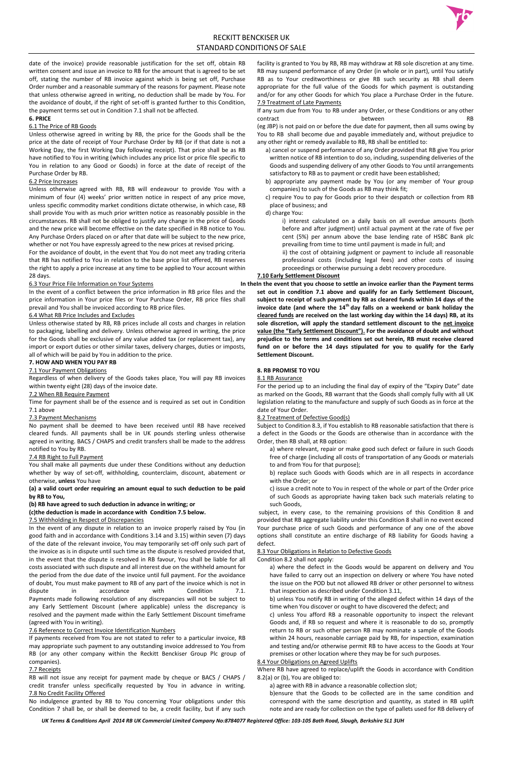

# RECKITT BENCKISER UK STANDARD CONDITIONS OF SALE

*UK Terms & Conditions April 2014 RB UK Commercial Limited Company No:8784077 Registered Office: 103-105 Bath Road, Slough, Berkshire SL1 3UH*

date of the invoice) provide reasonable justification for the set off, obtain RB written consent and issue an invoice to RB for the amount that is agreed to be set off, stating the number of RB invoice against which is being set off, Purchase Order number and a reasonable summary of the reasons for payment. Please note that unless otherwise agreed in writing, no deduction shall be made by You. For the avoidance of doubt, if the right of set-off is granted further to this Condition, the payment terms set out in Condition 7.1 shall not be affected.

## **6. PRICE**

## 6.1 The Price of RB Goods

Unless otherwise agreed in writing by RB, the price for the Goods shall be the price at the date of receipt of Your Purchase Order by RB (or if that date is not a Working Day, the first Working Day following receipt). That price shall be as RB have notified to You in writing (which includes any price list or price file specific to You in relation to any Good or Goods) in force at the date of receipt of the Purchase Order by RB.

### 6.2 Price Increases

Unless otherwise agreed with RB, RB will endeavour to provide You with a minimum of four (4) weeks' prior written notice in respect of any price move, unless specific commodity market conditions dictate otherwise, in which case, RB shall provide You with as much prior written notice as reasonably possible in the circumstances. RB shall not be obliged to justify any change in the price of Goods and the new price will become effective on the date specified in RB notice to You. Any Purchase Orders placed on or after that date will be subject to the new price, whether or not You have expressly agreed to the new prices at revised pricing.

For the avoidance of doubt, in the event that You do not meet any trading criteria that RB has notified to You in relation to the base price list offered, RB reserves the right to apply a price increase at any time to be applied to Your account within 28 days.

### 6.3 Your Price File Information on Your Systems

In the event of a conflict between the price information in RB price files and the price information in Your price files or Your Purchase Order, RB price files shall prevail and You shall be invoiced according to RB price files.

## 6.4 What RB Price Includes and Excludes

Unless otherwise stated by RB, RB prices include all costs and charges in relation to packaging, labelling and delivery. Unless otherwise agreed in writing, the price for the Goods shall be exclusive of any value added tax (or replacement tax), any import or export duties or other similar taxes, delivery charges, duties or imposts, all of which will be paid by You in addition to the price.

## **7. HOW AND WHEN YOU PAY RB**

### 7.1 Your Payment Obligations

Regardless of when delivery of the Goods takes place, You will pay RB invoices within twenty eight (28) days of the invoice date.

If any sum due from You to RB under any Order, or these Conditions or any other contract and research between the contract RB

## 7.2 When RB Require Payment

Time for payment shall be of the essence and is required as set out in Condition 7.1 above

## 7.3 Payment Mechanisms

No payment shall be deemed to have been received until RB have received cleared funds. All payments shall be in UK pounds sterling unless otherwise agreed in writing. BACS / CHAPS and credit transfers shall be made to the address notified to You by RB.

### 7.4 RB Right to Full Payment

You shall make all payments due under these Conditions without any deduction whether by way of set-off, withholding, counterclaim, discount, abatement or otherwise, **unless** You have

**(a) a valid court order requiring an amount equal to such deduction to be paid by RB to You,**

## **(b) RB have agreed to such deduction in advance in writing; or**

## **(c)the deduction is made in accordance with Condition 7.5 below.**

## 7.5 Withholding in Respect of Discrepancies

In the event of any dispute in relation to an invoice properly raised by You (in good faith and in accordance with Conditions 3.14 and 3.15) within seven (7) days of the date of the relevant invoice, You may temporarily set-off only such part of the invoice as is in dispute until such time as the dispute is resolved provided that, in the event that the dispute is resolved in RB favour, You shall be liable for all costs associated with such dispute and all interest due on the withheld amount for the period from the due date of the invoice until full payment. For the avoidance of doubt, You must make payment to RB of any part of the invoice which is not in dispute in accordance with Condition 7.1. Payments made following resolution of any discrepancies will not be subject to any Early Settlement Discount (where applicable) unless the discrepancy is resolved and the payment made within the Early Settlement Discount timeframe (agreed with You in writing).

#### 7.6 Reference to Correct Invoice Identification Numbers

If payments received from You are not stated to refer to a particular invoice, RB may appropriate such payment to any outstanding invoice addressed to You from RB (or any other company within the Reckitt Benckiser Group Plc group of companies).

#### 7.7 Receipts

RB will not issue any receipt for payment made by cheque or BACS / CHAPS / credit transfer unless specifically requested by You in advance in writing. 7.8 No Credit Facility Offered

No indulgence granted by RB to You concerning Your obligations under this Condition 7 shall be, or shall be deemed to be, a credit facility, but if any such

facility is granted to You by RB, RB may withdraw at RB sole discretion at any time. RB may suspend performance of any Order (in whole or in part), until You satisfy RB as to Your creditworthiness or give RB such security as RB shall deem appropriate for the full value of the Goods for which payment is outstanding and/or for any other Goods for which You place a Purchase Order in the future. 7.9 Treatment of Late Payments

(eg JBP) is not paid on or before the due date for payment, then all sums owing by You to RB shall become due and payable immediately and, without prejudice to any other right or remedy available to RB, RB shall be entitled to:

a) cancel or suspend performance of any Order provided that RB give You prior written notice of RB intention to do so, including, suspending deliveries of the Goods and suspending delivery of any other Goods to You until arrangements satisfactory to RB as to payment or credit have been established;

b) appropriate any payment made by You (or any member of Your group companies) to such of the Goods as RB may think fit;

c) require You to pay for Goods prior to their despatch or collection from RB place of business; and

d) charge You:

i) interest calculated on a daily basis on all overdue amounts (both before and after judgment) until actual payment at the rate of five per cent (5%) per annum above the base lending rate of HSBC Bank plc prevailing from time to time until payment is made in full; and

 ii) the cost of obtaining judgment or payment to include all reasonable professional costs (including legal fees) and other costs of issuing proceedings or otherwise pursuing a debt recovery procedure.

# **7.10 Early Settlement Discount**

**In theIn the event that you choose to settle an invoice earlier than the Payment terms set out in condition 7.1 above and qualify for an Early Settlement Discount, subject to receipt of such payment by RB as cleared funds within 14 days of the invoice date (and where the 14th day falls on a weekend or bank holiday the cleared funds are received on the last working day within the 14 days) RB, at its sole discretion, will apply the standard settlement discount to the net invoice value (the "Early Settlement Discount"). For the avoidance of doubt and without prejudice to the terms and conditions set out herein, RB must receive cleared fund on or before the 14 days stipulated for you to qualify for the Early Settlement Discount.**

## **8. RB PROMISE TO YOU**

### 8.1 RB Assurance

For the period up to an including the final day of expiry of the "Expiry Date" date as marked on the Goods, RB warrant that the Goods shall comply fully with all UK legislation relating to the manufacture and supply of such Goods as in force at the date of Your Order.

## 8.2 Treatment of Defective Good(s)

Subject to Condition 8.3, if You establish to RB reasonable satisfaction that there is a defect in the Goods or the Goods are otherwise than in accordance with the Order, then RB shall, at RB option:

a) where relevant, repair or make good such defect or failure in such Goods free of charge (including all costs of transportation of any Goods or materials to and from You for that purpose);

b) replace such Goods with Goods which are in all respects in accordance with the Order; or

c) issue a credit note to You in respect of the whole or part of the Order price of such Goods as appropriate having taken back such materials relating to such Goods,

subject, in every case, to the remaining provisions of this Condition 8 and provided that RB aggregate liability under this Condition 8 shall in no event exceed Your purchase price of such Goods and performance of any one of the above options shall constitute an entire discharge of RB liability for Goods having a defect.

#### 8.3 Your Obligations in Relation to Defective Goods

### Condition 8.2 shall not apply:

a) where the defect in the Goods would be apparent on delivery and You have failed to carry out an inspection on delivery or where You have noted the issue on the POD but not allowed RB driver or other personnel to witness that inspection as described under Condition 3.11,

b) unless You notify RB in writing of the alleged defect within 14 days of the time when You discover or ought to have discovered the defect; and

c) unless You afford RB a reasonable opportunity to inspect the relevant Goods and, if RB so request and where it is reasonable to do so, promptly return to RB or such other person RB may nominate a sample of the Goods within 24 hours, reasonable carriage paid by RB, for inspection, examination and testing and/or otherwise permit RB to have access to the Goods at Your premises or other location where they may be for such purposes.

#### 8.4 Your Obligations on Agreed Uplifts

Where RB have agreed to replace/uplift the Goods in accordance with Condition 8.2(a) or (b), You are obliged to:

a) agree with RB in advance a reasonable collection slot;

b)ensure that the Goods to be collected are in the same condition and correspond with the same description and quantity, as stated in RB uplift note and are ready for collection on the type of pallets used for RB delivery of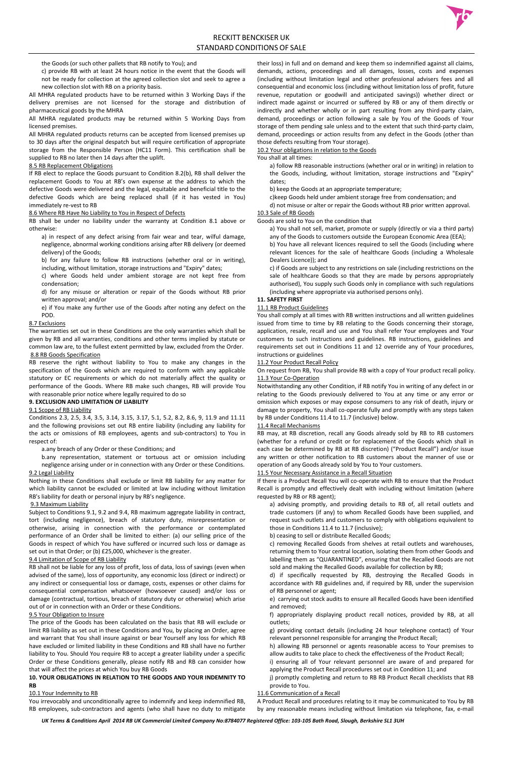the Goods (or such other pallets that RB notify to You); and

c) provide RB with at least 24 hours notice in the event that the Goods will not be ready for collection at the agreed collection slot and seek to agree a new collection slot with RB on a priority basis.

All MHRA regulated products have to be returned within 3 Working Days if the delivery premises are not licensed for the storage and distribution of pharmaceutical goods by the MHRA

All MHRA regulated products may be returned within 5 Working Days from licensed premises.

All MHRA regulated products returns can be accepted from licensed premises up to 30 days after the original despatch but will require certification of appropriate storage from the Responsible Person (HC11 Form). This certification shall be supplied to RB no later then 14 days after the uplift.

#### 8.5 RB Replacement Obligations

If RB elect to replace the Goods pursuant to Condition 8.2(b), RB shall deliver the replacement Goods to You at RB's own expense at the address to which the defective Goods were delivered and the legal, equitable and beneficial title to the defective Goods which are being replaced shall (if it has vested in You) immediately re-vest to RB

#### 8.6 Where RB Have No Liability to You in Respect of Defects

RB shall be under no liability under the warranty at Condition 8.1 above or otherwise:

a) in respect of any defect arising from fair wear and tear, wilful damage, negligence, abnormal working conditions arising after RB delivery (or deemed delivery) of the Goods;

b) for any failure to follow RB instructions (whether oral or in writing), including, without limitation, storage instructions and "Expiry" dates;

c) where Goods held under ambient storage are not kept free from condensation;

d) for any misuse or alteration or repair of the Goods without RB prior written approval; and/or

e) if You make any further use of the Goods after noting any defect on the POD.

## 8.7 Exclusions

The warranties set out in these Conditions are the only warranties which shall be given by RB and all warranties, conditions and other terms implied by statute or common law are, to the fullest extent permitted by law, excluded from the Order.

### 8.8 RB Goods Specification

RB reserve the right without liability to You to make any changes in the specification of the Goods which are required to conform with any applicable statutory or EC requirements or which do not materially affect the quality or performance of the Goods. Where RB make such changes, RB will provide You with reasonable prior notice where legally required to do so

#### **9. EXCLUSION AND LIMITATION OF LIABILITY**

#### 9.1 Scope of RB Liability

Conditions 2.3, 2.5, 3.4, 3.5, 3.14, 3.15, 3.17, 5.1, 5.2, 8.2, 8.6, 9, 11.9 and 11.11 and the following provisions set out RB entire liability (including any liability for the acts or omissions of RB employees, agents and sub-contractors) to You in respect of:

a.any breach of any Order or these Conditions; and

b.any representation, statement or tortuous act or omission including negligence arising under or in connection with any Order or these Conditions.

#### 9.2 Legal Liability

Nothing in these Conditions shall exclude or limit RB liability for any matter for which liability cannot be excluded or limited at law including without limitation RB's liability for death or personal injury by RB's negligence.

### 9.3 Maximum Liability

Subject to Conditions 9.1, 9.2 and 9.4, RB maximum aggregate liability in contract, tort (including negligence), breach of statutory duty, misrepresentation or otherwise, arising in connection with the performance or contemplated performance of an Order shall be limited to either: (a) our selling price of the Goods in respect of which You have suffered or incurred such loss or damage as set out in that Order; or (b) £25,000, whichever is the greater.

#### 9.4 Limitation of Scope of RB Liability

RB shall not be liable for any loss of profit, loss of data, loss of savings (even when advised of the same), loss of opportunity, any economic loss (direct or indirect) or any indirect or consequential loss or damage, costs, expenses or other claims for consequential compensation whatsoever (howsoever caused) and/or loss or damage (contractual, tortious, breach of statutory duty or otherwise) which arise out of or in connection with an Order or these Conditions.

#### 9.5 Your Obligation to Insure

The price of the Goods has been calculated on the basis that RB will exclude or limit RB liability as set out in these Conditions and You, by placing an Order, agree and warrant that You shall insure against or bear Yourself any loss for which RB have excluded or limited liability in these Conditions and RB shall have no further liability to You. Should You require RB to accept a greater liability under a specific Order or these Conditions generally, please notify RB and RB can consider how that will affect the prices at which You buy RB Goods

## **10. YOUR OBLIGATIONS IN RELATION TO THE GOODS AND YOUR INDEMNITY TO RB**

### 10.1 Your Indemnity to RB

You irrevocably and unconditionally agree to indemnify and keep indemnified RB, RB employees, sub-contractors and agents (who shall have no duty to mitigate their loss) in full and on demand and keep them so indemnified against all claims, demands, actions, proceedings and all damages, losses, costs and expenses (including without limitation legal and other professional advisers fees and all consequential and economic loss (including without limitation loss of profit, future revenue, reputation or goodwill and anticipated savings)) whether direct or indirect made against or incurred or suffered by RB or any of them directly or indirectly and whether wholly or in part resulting from any third-party claim, demand, proceedings or action following a sale by You of the Goods of Your storage of them pending sale unless and to the extent that such third-party claim, demand, proceedings or action results from any defect in the Goods (other than those defects resulting from Your storage).

#### 10.2 Your obligations in relation to the Goods

You shall at all times:

a) follow RB reasonable instructions (whether oral or in writing) in relation to the Goods, including, without limitation, storage instructions and "Expiry" dates;

b) keep the Goods at an appropriate temperature;

c)keep Goods held under ambient storage free from condensation; and

d) not misuse or alter or repair the Goods without RB prior written approval. 10.3 Sale of RB Goods

Goods are sold to You on the condition that

a) You shall not sell, market, promote or supply (directly or via a third party) any of the Goods to customers outside the European Economic Area (EEA); b) You have all relevant licences required to sell the Goods (including where relevant licences for the sale of healthcare Goods (including a Wholesale Dealers Licence)); and

c) if Goods are subject to any restrictions on sale (including restrictions on the sale of healthcare Goods so that they are made by persons appropriately authorised), You supply such Goods only in compliance with such regulations (including where appropriate via authorised persons only).

## **11. SAFETY FIRST**

### 11.1 RB Product Guidelines

You shall comply at all times with RB written instructions and all written guidelines issued from time to time by RB relating to the Goods concerning their storage, application, resale, recall and use and You shall refer Your employees and Your customers to such instructions and guidelines. RB instructions, guidelines and requirements set out in Conditions 11 and 12 override any of Your procedures, instructions or guidelines

## 11.2 Your Product Recall Policy

On request from RB, You shall provide RB with a copy of Your product recall policy. 11.3 Your Co-Operation

Notwithstanding any other Condition, if RB notify You in writing of any defect in or relating to the Goods previously delivered to You at any time or any error or omission which exposes or may expose consumers to any risk of death, injury or damage to property, You shall co-operate fully and promptly with any steps taken by RB under Conditions 11.4 to 11.7 (inclusive) below.

### 11.4 Recall Mechanisms

RB may, at RB discretion, recall any Goods already sold by RB to RB customers (whether for a refund or credit or for replacement of the Goods which shall in each case be determined by RB at RB discretion) ("Product Recall") and/or issue any written or other notification to RB customers about the manner of use or operation of any Goods already sold by You to Your customers.

#### 11.5 Your Necessary Assistance in a Recall Situation

If there is a Product Recall You will co-operate with RB to ensure that the Product Recall is promptly and effectively dealt with including without limitation (where requested by RB or RB agent);

a) advising promptly, and providing details to RB of, all retail outlets and trade customers (if any) to whom Recalled Goods have been supplied, and request such outlets and customers to comply with obligations equivalent to those in Conditions 11.4 to 11.7 (inclusive);



b) ceasing to sell or distribute Recalled Goods;

c) removing Recalled Goods from shelves at retail outlets and warehouses, returning them to Your central location, isolating them from other Goods and labelling them as "QUARANTINED", ensuring that the Recalled Goods are not sold and making the Recalled Goods available for collection by RB;

d) if specifically requested by RB, destroying the Recalled Goods in accordance with RB guidelines and, if required by RB, under the supervision of RB personnel or agent;

e) carrying out stock audits to ensure all Recalled Goods have been identified and removed;

f) appropriately displaying product recall notices, provided by RB, at all outlets;

g) providing contact details (including 24 hour telephone contact) of Your relevant personnel responsible for arranging the Product Recall;

h) allowing RB personnel or agents reasonable access to Your premises to allow audits to take place to check the effectiveness of the Product Recall;

i) ensuring all of Your relevant personnel are aware of and prepared for applying the Product Recall procedures set out in Condition 11; and

j) promptly completing and return to RB RB Product Recall checklists that RB provide to You.

### 11.6 Communication of a Recall

A Product Recall and procedures relating to it may be communicated to You by RB by any reasonable means including without limitation via telephone, fax, e-mail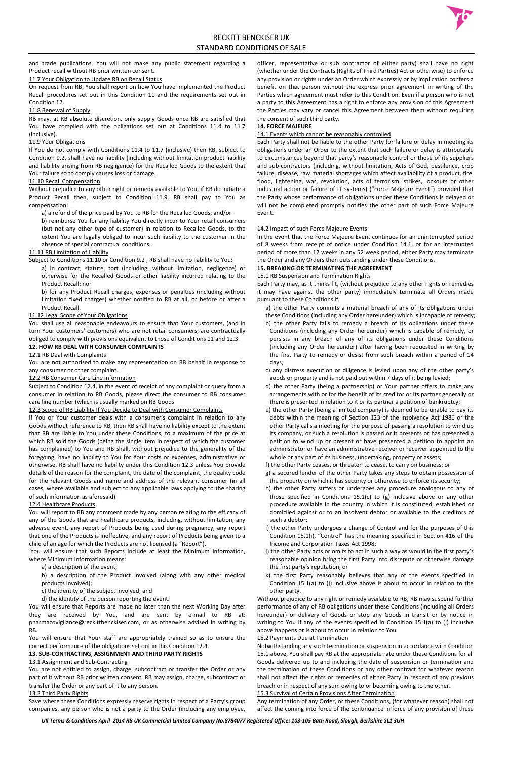and trade publications. You will not make any public statement regarding a Product recall without RB prior written consent.

#### 11.7 Your Obligation to Update RB on Recall Status

On request from RB, You shall report on how You have implemented the Product Recall procedures set out in this Condition 11 and the requirements set out in Condition 12.

#### 11.8 Renewal of Supply

RB may, at RB absolute discretion, only supply Goods once RB are satisfied that You have complied with the obligations set out at Conditions 11.4 to 11.7 (inclusive).

#### 11.9 Your Obligations

If You do not comply with Conditions 11.4 to 11.7 (inclusive) then RB, subject to Condition 9.2, shall have no liability (including without limitation product liability and liability arising from RB negligence) for the Recalled Goods to the extent that Your failure so to comply causes loss or damage.

#### 11.10 Recall Compensation

Without prejudice to any other right or remedy available to You, if RB do initiate a Product Recall then, subject to Condition 11.9, RB shall pay to You as compensation:

a) a refund of the price paid by You to RB for the Recalled Goods; and/or

b) reimburse You for any liability You directly incur to Your retail consumers (but not any other type of customer) in relation to Recalled Goods, to the extent You are legally obliged to incur such liability to the customer in the absence of special contractual conditions.

#### 11.11 RB Limitation of Liability

Subject to Conditions 11.10 or Condition 9.2 , RB shall have no liability to You:

a) in contract, statute, tort (including, without limitation, negligence) or otherwise for the Recalled Goods or other liability incurred relating to the Product Recall; nor

b) for any Product Recall charges, expenses or penalties (including without limitation fixed charges) whether notified to RB at all, or before or after a Product Recall.

### 11.12 Legal Scope of Your Obligations

You shall use all reasonable endeavours to ensure that Your customers, (and in turn Your customers' customers) who are not retail consumers, are contractually obliged to comply with provisions equivalent to those of Conditions 11 and 12.3.

#### **12. HOW RB DEAL WITH CONSUMER COMPLAINTS**

### 12.1 RB Deal with Complaints

You are not authorised to make any representation on RB behalf in response to any consumer or other complaint.

### 12.2 RB Consumer Care Line Information

Subject to Condition 12.4, in the event of receipt of any complaint or query from a consumer in relation to RB Goods, please direct the consumer to RB consumer care line number (which is usually marked on RB Goods

### 12.3 Scope of RB Liability If You Decide to Deal with Consumer Complaints

If You or Your customer deals with a consumer's complaint in relation to any Goods without reference to RB, then RB shall have no liability except to the extent that RB are liable to You under these Conditions, to a maximum of the price at which RB sold the Goods (being the single item in respect of which the customer has complained) to You and RB shall, without prejudice to the generality of the foregoing, have no liability to You for Your costs or expenses, administrative or otherwise. RB shall have no liability under this Condition 12.3 unless You provide details of the reason for the complaint, the date of the complaint, the quality code for the relevant Goods and name and address of the relevant consumer (in all cases, where available and subject to any applicable laws applying to the sharing of such information as aforesaid).

### 12.4 Healthcare Products

You will report to RB any comment made by any person relating to the efficacy of any of the Goods that are healthcare products, including, without limitation, any adverse event, any report of Products being used during pregnancy, any report that one of the Products is ineffective, and any report of Products being given to a child of an age for which the Products are not licensed (a "Report").

You will ensure that such Reports include at least the Minimum Information, where Minimum Information means:

a) a description of the event;

b) a description of the Product involved (along with any other medical products involved);

c) the identity of the subject involved; and

d) the identity of the person reporting the event.

You will ensure that Reports are made no later than the next Working Day after they are received by You, and are sent by e-mail to RB at: pharmacovigilance@reckittbenckiser.com, or as otherwise advised in writing by RB.

You will ensure that Your staff are appropriately trained so as to ensure the correct performance of the obligations set out in this Condition 12.4.

## **13. SUB-CONTRACTING, ASSIGNMENT AND THIRD PARTY RIGHTS**

#### 13.1 Assignment and Sub-Contracting

You are not entitled to assign, charge, subcontract or transfer the Order or any part of it without RB prior written consent. RB may assign, charge, subcontract or transfer the Order or any part of it to any person.

#### 13.2 Third Party Rights

Save where these Conditions expressly reserve rights in respect of a Party's group companies, any person who is not a party to the Order (including any employee, officer, representative or sub contractor of either party) shall have no right (whether under the Contracts (Rights of Third Parties) Act or otherwise) to enforce any provision or rights under an Order which expressly or by implication confers a benefit on that person without the express prior agreement in writing of the Parties which agreement must refer to this Condition. Even if a person who is not a party to this Agreement has a right to enforce any provision of this Agreement the Parties may vary or cancel this Agreement between them without requiring the consent of such third party.

#### **14. FORCE MAJEURE**

#### 14.1 Events which cannot be reasonably controlled

Each Party shall not be liable to the other Party for failure or delay in meeting its obligations under an Order to the extent that such failure or delay is attributable to circumstances beyond that party's reasonable control or those of its suppliers and sub-contractors (including, without limitation, Acts of God, pestilence, crop failure, disease, raw material shortages which affect availability of a product, fire, flood, lightening, war, revolution, acts of terrorism, strikes, lockouts or other industrial action or failure of IT systems) ("Force Majeure Event") provided that the Party whose performance of obligations under these Conditions is delayed or will not be completed promptly notifies the other part of such Force Majeure Event.

#### 14.2 Impact of such Force Majeure Events

In the event that the Force Majeure Event continues for an uninterrupted period of 8 weeks from receipt of notice under Condition 14.1, or for an interrupted period of more than 12 weeks in any 52 week period, either Party may terminate the Order and any Orders then outstanding under these Conditions.

## **15. BREAKING OR TERMINATING THE AGREEMENT**

### 15.1 RB Suspension and Termination Rights

Each Party may, as it thinks fit, (without prejudice to any other rights or remedies it may have against the other party) immediately terminate all Orders made pursuant to these Conditions if:

- a) the other Party commits a material breach of any of its obligations under these Conditions (including any Order hereunder) which is incapable of remedy; b) the other Party fails to remedy a breach of its obligations under these Conditions (including any Order hereunder) which is capable of remedy, or persists in any breach of any of its obligations under these Conditions (including any Order hereunder) after having been requested in writing by the first Party to remedy or desist from such breach within a period of 14 days;
- c) any distress execution or diligence is levied upon any of the other party's goods or property and is not paid out within 7 days of it being levied;
- d) the other Party (being a partnership) or Your partner offers to make any arrangements with or for the benefit of its creditor or its partner generally or there is presented in relation to it or its partner a petition of bankruptcy;
- e) the other Party (being a limited company) is deemed to be unable to pay its debts within the meaning of Section 123 of the Insolvency Act 1986 or the other Party calls a meeting for the purpose of passing a resolution to wind up its company, or such a resolution is passed or it presents or has presented a petition to wind up or present or have presented a petition to appoint an administrator or have an administrative receiver or receiver appointed to the whole or any part of its business, undertaking, property or assets;
- f) the other Party ceases, or threaten to cease, to carry on business; or
- g) a secured lender of the other Party takes any steps to obtain possession of the property on which it has security or otherwise to enforce its security;
- h) the other Party suffers or undergoes any procedure analogous to any of those specified in Conditions 15.1(c) to (g) inclusive above or any other procedure available in the country in which it is constituted, established or domiciled against or to an insolvent debtor or available to the creditors of such a debtor;
- 



- i) the other Party undergoes a change of Control and for the purposes of this Condition 15.1(i), "Control" has the meaning specified in Section 416 of the Income and Corporation Taxes Act 1998;
- j) the other Party acts or omits to act in such a way as would in the first party's reasonable opinion bring the first Party into disrepute or otherwise damage the first party's reputation; or
- k) the first Party reasonably believes that any of the events specified in Condition 15.1(a) to (j) inclusive above is about to occur in relation to the other party.

Without prejudice to any right or remedy available to RB, RB may suspend further performance of any of RB obligations under these Conditions (including all Orders hereunder) or delivery of Goods or stop any Goods in transit or by notice in writing to You if any of the events specified in Condition 15.1(a) to (j) inclusive above happens or is about to occur in relation to You

#### 15.2 Payments Due at Termination

Notwithstanding any such termination or suspension in accordance with Condition 15.1 above, You shall pay RB at the appropriate rate under these Conditions for all Goods delivered up to and including the date of suspension or termination and the termination of these Conditions or any other contract for whatever reason shall not affect the rights or remedies of either Party in respect of any previous breach or in respect of any sum owing to or becoming owing to the other.

#### 15.3 Survival of Certain Provisions After Termination

Any termination of any Order, or these Conditions, (for whatever reason) shall not affect the coming into force of the continuance in force of any provision of these